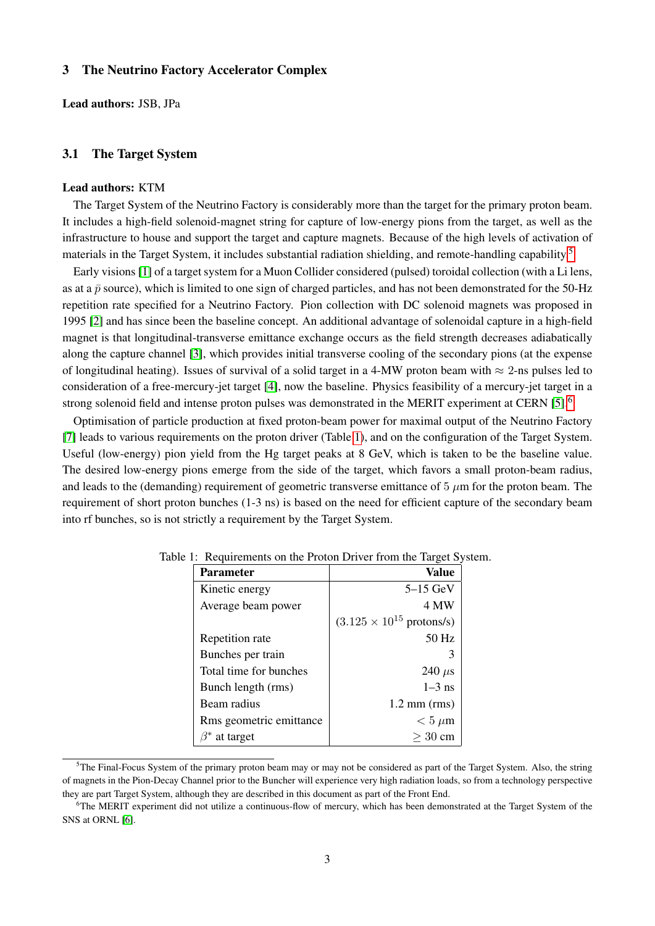# 3 The Neutrino Factory Accelerator Complex

Lead authors: JSB, JPa

### 3.1 The Target System

### Lead authors: KTM

The Target System of the Neutrino Factory is considerably more than the target for the primary proton beam. It includes a high-field solenoid-magnet string for capture of low-energy pions from the target, as well as the infrastructure to house and support the target and capture magnets. Because of the high levels of activation of materials in the Target System, it includes substantial radiation shielding, and remote-handling capability.[5](#page-0-0)

Early visions [\[1\]](#page-2-0) of a target system for a Muon Collider considered (pulsed) toroidal collection (with a Li lens, as at a  $\bar{p}$  source), which is limited to one sign of charged particles, and has not been demonstrated for the 50-Hz repetition rate specified for a Neutrino Factory. Pion collection with DC solenoid magnets was proposed in 1995 [\[2\]](#page-2-1) and has since been the baseline concept. An additional advantage of solenoidal capture in a high-field magnet is that longitudinal-transverse emittance exchange occurs as the field strength decreases adiabatically along the capture channel [\[3\]](#page-2-2), which provides initial transverse cooling of the secondary pions (at the expense of longitudinal heating). Issues of survival of a solid target in a 4-MW proton beam with  $\approx$  2-ns pulses led to consideration of a free-mercury-jet target [\[4\]](#page-2-3), now the baseline. Physics feasibility of a mercury-jet target in a strong solenoid field and intense proton pulses was demonstrated in the MERIT experiment at CERN [\[5\]](#page-2-4).<sup>[6](#page-0-1)</sup>

Optimisation of particle production at fixed proton-beam power for maximal output of the Neutrino Factory [\[7\]](#page-2-5) leads to various requirements on the proton driver (Table [1\)](#page-0-2), and on the configuration of the Target System. Useful (low-energy) pion yield from the Hg target peaks at 8 GeV, which is taken to be the baseline value. The desired low-energy pions emerge from the side of the target, which favors a small proton-beam radius, and leads to the (demanding) requirement of geometric transverse emittance of  $5 \mu m$  for the proton beam. The requirement of short proton bunches (1-3 ns) is based on the need for efficient capture of the secondary beam into rf bunches, so is not strictly a requirement by the Target System.

<span id="page-0-2"></span>

| $5-15$ GeV                                 |
|--------------------------------------------|
| 4 MW                                       |
| $(3.125 \times 10^{15} \text{ protons/s})$ |
| 50 Hz                                      |
| 3                                          |
| 240 $\mu$ s                                |
| $1-3$ ns                                   |
| $1.2 \text{ mm (rms)}$                     |
| $< 5 \mu m$                                |
| $>$ 30 cm                                  |
|                                            |

#### Table 1: Requirements on the Proton Driver from the Target System.

<span id="page-0-0"></span><sup>&</sup>lt;sup>5</sup>The Final-Focus System of the primary proton beam may or may not be considered as part of the Target System. Also, the string of magnets in the Pion-Decay Channel prior to the Buncher will experience very high radiation loads, so from a technology perspective they are part Target System, although they are described in this document as part of the Front End.

<span id="page-0-1"></span><sup>6</sup>The MERIT experiment did not utilize a continuous-flow of mercury, which has been demonstrated at the Target System of the SNS at ORNL [\[6\]](#page-2-6).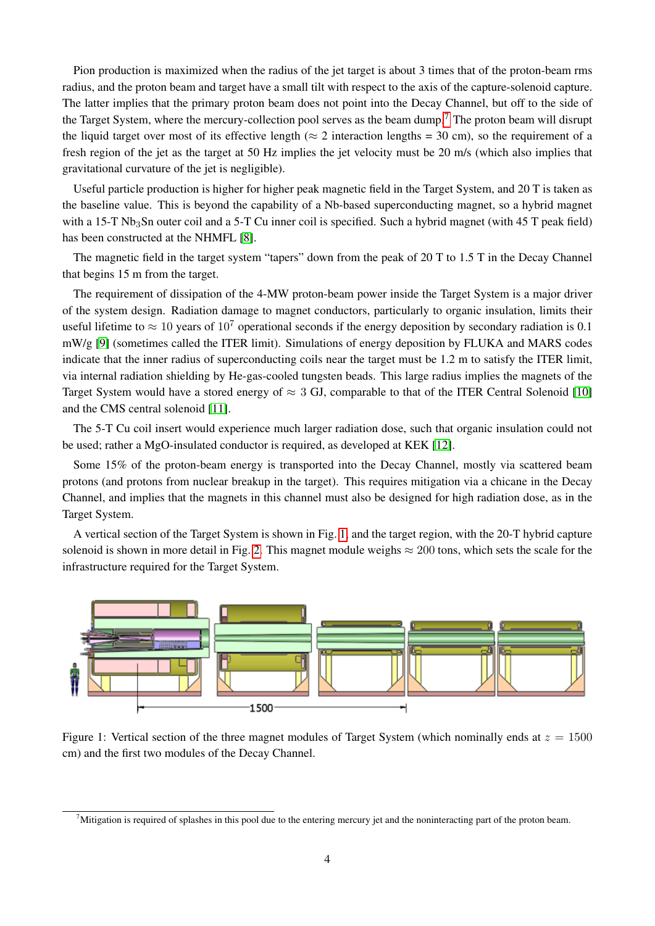Pion production is maximized when the radius of the jet target is about 3 times that of the proton-beam rms radius, and the proton beam and target have a small tilt with respect to the axis of the capture-solenoid capture. The latter implies that the primary proton beam does not point into the Decay Channel, but off to the side of the Target System, where the mercury-collection pool serves as the beam dump.<sup>[7](#page-1-0)</sup> The proton beam will disrupt the liquid target over most of its effective length ( $\approx$  2 interaction lengths = 30 cm), so the requirement of a fresh region of the jet as the target at 50 Hz implies the jet velocity must be 20 m/s (which also implies that gravitational curvature of the jet is negligible).

Useful particle production is higher for higher peak magnetic field in the Target System, and 20 T is taken as the baseline value. This is beyond the capability of a Nb-based superconducting magnet, so a hybrid magnet with a 15-T Nb<sub>3</sub>Sn outer coil and a 5-T Cu inner coil is specified. Such a hybrid magnet (with 45 T peak field) has been constructed at the NHMFL [\[8\]](#page-2-7).

The magnetic field in the target system "tapers" down from the peak of 20 T to 1.5 T in the Decay Channel that begins 15 m from the target.

The requirement of dissipation of the 4-MW proton-beam power inside the Target System is a major driver of the system design. Radiation damage to magnet conductors, particularly to organic insulation, limits their useful lifetime to  $\approx 10$  years of  $10^7$  operational seconds if the energy deposition by secondary radiation is 0.1 mW/g [\[9\]](#page-2-8) (sometimes called the ITER limit). Simulations of energy deposition by FLUKA and MARS codes indicate that the inner radius of superconducting coils near the target must be 1.2 m to satisfy the ITER limit, via internal radiation shielding by He-gas-cooled tungsten beads. This large radius implies the magnets of the Target System would have a stored energy of  $\approx 3$  GJ, comparable to that of the ITER Central Solenoid [\[10\]](#page-2-9) and the CMS central solenoid [\[11\]](#page-2-10).

The 5-T Cu coil insert would experience much larger radiation dose, such that organic insulation could not be used; rather a MgO-insulated conductor is required, as developed at KEK [\[12\]](#page-2-11).

Some 15% of the proton-beam energy is transported into the Decay Channel, mostly via scattered beam protons (and protons from nuclear breakup in the target). This requires mitigation via a chicane in the Decay Channel, and implies that the magnets in this channel must also be designed for high radiation dose, as in the Target System.

A vertical section of the Target System is shown in Fig. [1,](#page-1-1) and the target region, with the 20-T hybrid capture solenoid is shown in more detail in Fig. [2.](#page-2-12) This magnet module weighs  $\approx 200$  tons, which sets the scale for the infrastructure required for the Target System.



<span id="page-1-1"></span>Figure 1: Vertical section of the three magnet modules of Target System (which nominally ends at  $z = 1500$ ) cm) and the first two modules of the Decay Channel.

<span id="page-1-0"></span> $7$ Mitigation is required of splashes in this pool due to the entering mercury jet and the noninteracting part of the proton beam.